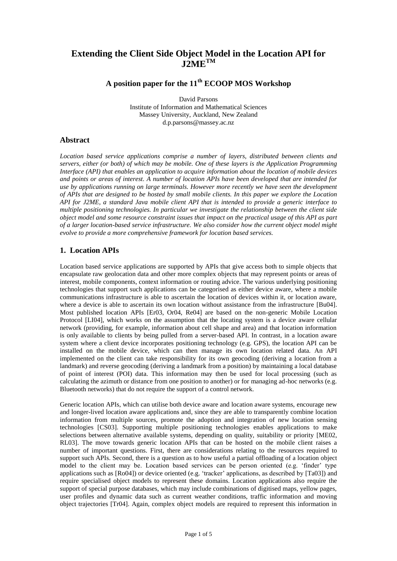## **Extending the Client Side Object Model in the Location API for J2METM**

# **A position paper for the 11th ECOOP MOS Workshop**

David Parsons Institute of Information and Mathematical Sciences Massey University, Auckland, New Zealand d.p.parsons@massey.ac.nz

## **Abstract**

*Location based service applications comprise a number of layers, distributed between clients and servers, either (or both) of which may be mobile. One of these layers is the Application Programming Interface (API) that enables an application to acquire information about the location of mobile devices and points or areas of interest. A number of location APIs have been developed that are intended for use by applications running on large terminals. However more recently we have seen the development of APIs that are designed to be hosted by small mobile clients. In this paper we explore the Location API for J2ME, a standard Java mobile client API that is intended to provide a generic interface to multiple positioning technologies. In particular we investigate the relationship between the client side object model and some resource constraint issues that impact on the practical usage of this API as part of a larger location-based service infrastructure. We also consider how the current object model might evolve to provide a more comprehensive framework for location based services.*

## **1. Location APIs**

Location based service applications are supported by APIs that give access both to simple objects that encapsulate raw geolocation data and other more complex objects that may represent points or areas of interest, mobile components, context information or routing advice. The various underlying positioning technologies that support such applications can be categorised as either device aware, where a mobile communications infrastructure is able to ascertain the location of devices within it, or location aware, where a device is able to ascertain its own location without assistance from the infrastructure [Bu04]. Most published location APIs [Er03, Or04, Re04] are based on the non-generic Mobile Location Protocol [LI04], which works on the assumption that the locating system is a device aware cellular network (providing, for example, information about cell shape and area) and that location information is only available to clients by being pulled from a server-based API. In contrast, in a location aware system where a client device incorporates positioning technology (e.g. GPS), the location API can be installed on the mobile device, which can then manage its own location related data. An API implemented on the client can take responsibility for its own geocoding (deriving a location from a landmark) and reverse geocoding (deriving a landmark from a position) by maintaining a local database of point of interest (POI) data. This information may then be used for local processing (such as calculating the azimuth or distance from one position to another) or for managing ad-hoc networks (e.g. Bluetooth networks) that do not require the support of a control network.

Generic location APIs, which can utilise both device aware and location aware systems, encourage new and longer-lived location aware applications and, since they are able to transparently combine location information from multiple sources, promote the adoption and integration of new location sensing technologies [CS03]. Supporting multiple positioning technologies enables applications to make selections between alternative available systems, depending on quality, suitability or priority [ME02, RL03]. The move towards generic location APIs that can be hosted on the mobile client raises a number of important questions. First, there are considerations relating to the resources required to support such APIs. Second, there is a question as to how useful a partial offloading of a location object model to the client may be. Location based services can be person oriented (e.g. 'finder' type applications such as [Ro04]) or device oriented (e.g. 'tracker' applications, as described by [Ta03]) and require specialised object models to represent these domains. Location applications also require the support of special purpose databases, which may include combinations of digitised maps, yellow pages, user profiles and dynamic data such as current weather conditions, traffic information and moving object trajectories [Tr04]. Again, complex object models are required to represent this information in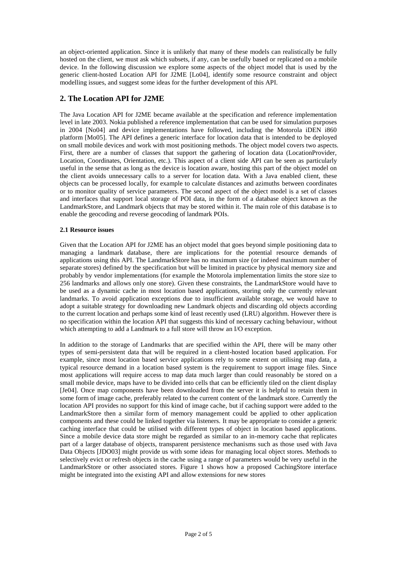an object-oriented application. Since it is unlikely that many of these models can realistically be fully hosted on the client, we must ask which subsets, if any, can be usefully based or replicated on a mobile device. In the following discussion we explore some aspects of the object model that is used by the generic client-hosted Location API for J2ME [Lo04], identify some resource constraint and object modelling issues, and suggest some ideas for the further development of this API.

## **2. The Location API for J2ME**

The Java Location API for J2ME became available at the specification and reference implementation level in late 2003. Nokia published a reference implementation that can be used for simulation purposes in 2004 [No04] and device implementations have followed, including the Motorola iDEN i860 platform [Mo05]. The API defines a generic interface for location data that is intended to be deployed on small mobile devices and work with most positioning methods. The object model covers two aspects. First, there are a number of classes that support the gathering of location data (LocationProvider, Location, Coordinates, Orientation, etc.). This aspect of a client side API can be seen as particularly useful in the sense that as long as the device is location aware, hosting this part of the object model on the client avoids unnecessary calls to a server for location data. With a Java enabled client, these objects can be processed locally, for example to calculate distances and azimuths between coordinates or to monitor quality of service parameters. The second aspect of the object model is a set of classes and interfaces that support local storage of POI data, in the form of a database object known as the LandmarkStore, and Landmark objects that may be stored within it. The main role of this database is to enable the geocoding and reverse geocoding of landmark POIs.

#### **2.1 Resource issues**

Given that the Location API for J2ME has an object model that goes beyond simple positioning data to managing a landmark database, there are implications for the potential resource demands of applications using this API. The LandmarkStore has no maximum size (or indeed maximum number of separate stores) defined by the specification but will be limited in practice by physical memory size and probably by vendor implementations (for example the Motorola implementation limits the store size to 256 landmarks and allows only one store). Given these constraints, the LandmarkStore would have to be used as a dynamic cache in most location based applications, storing only the currently relevant landmarks. To avoid application exceptions due to insufficient available storage, we would have to adopt a suitable strategy for downloading new Landmark objects and discarding old objects according to the current location and perhaps some kind of least recently used (LRU) algorithm. However there is no specification within the location API that suggests this kind of necessary caching behaviour, without which attempting to add a Landmark to a full store will throw an I/O exception.

In addition to the storage of Landmarks that are specified within the API, there will be many other types of semi-persistent data that will be required in a client-hosted location based application. For example, since most location based service applications rely to some extent on utilising map data, a typical resource demand in a location based system is the requirement to support image files. Since most applications will require access to map data much larger than could reasonably be stored on a small mobile device, maps have to be divided into cells that can be efficiently tiled on the client display [Je04]. Once map components have been downloaded from the server it is helpful to retain them in some form of image cache, preferably related to the current content of the landmark store. Currently the location API provides no support for this kind of image cache, but if caching support were added to the LandmarkStore then a similar form of memory management could be applied to other application components and these could be linked together via listeners. It may be appropriate to consider a generic caching interface that could be utilised with different types of object in location based applications. Since a mobile device data store might be regarded as similar to an in-memory cache that replicates part of a larger database of objects, transparent persistence mechanisms such as those used with Java Data Objects [JDO03] might provide us with some ideas for managing local object stores. Methods to selectively evict or refresh objects in the cache using a range of parameters would be very useful in the LandmarkStore or other associated stores. Figure 1 shows how a proposed CachingStore interface might be integrated into the existing API and allow extensions for new stores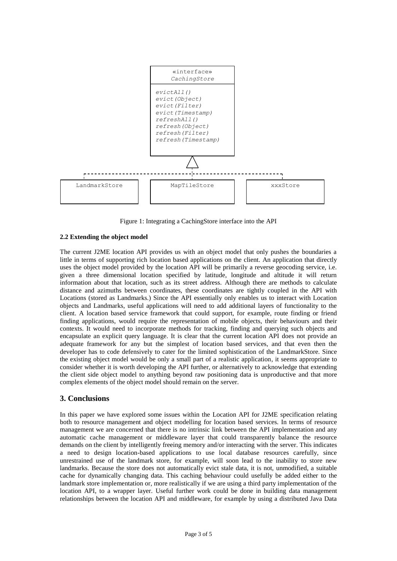

Figure 1: Integrating a CachingStore interface into the API

#### **2.2 Extending the object model**

The current J2ME location API provides us with an object model that only pushes the boundaries a little in terms of supporting rich location based applications on the client. An application that directly uses the object model provided by the location API will be primarily a reverse geocoding service, i.e. given a three dimensional location specified by latitude, longitude and altitude it will return information about that location, such as its street address. Although there are methods to calculate distance and azimuths between coordinates, these coordinates are tightly coupled in the API with Locations (stored as Landmarks.) Since the API essentially only enables us to interact with Location objects and Landmarks, useful applications will need to add additional layers of functionality to the client. A location based service framework that could support, for example, route finding or friend finding applications, would require the representation of mobile objects, their behaviours and their contexts. It would need to incorporate methods for tracking, finding and querying such objects and encapsulate an explicit query language. It is clear that the current location API does not provide an adequate framework for any but the simplest of location based services, and that even then the developer has to code defensively to cater for the limited sophistication of the LandmarkStore. Since the existing object model would be only a small part of a realistic application, it seems appropriate to consider whether it is worth developing the API further, or alternatively to acknowledge that extending the client side object model to anything beyond raw positioning data is unproductive and that more complex elements of the object model should remain on the server.

### **3. Conclusions**

In this paper we have explored some issues within the Location API for J2ME specification relating both to resource management and object modelling for location based services. In terms of resource management we are concerned that there is no intrinsic link between the API implementation and any automatic cache management or middleware layer that could transparently balance the resource demands on the client by intelligently freeing memory and/or interacting with the server. This indicates a need to design location-based applications to use local database resources carefully, since unrestrained use of the landmark store, for example, will soon lead to the inability to store new landmarks. Because the store does not automatically evict stale data, it is not, unmodified, a suitable cache for dynamically changing data. This caching behaviour could usefully be added either to the landmark store implementation or, more realistically if we are using a third party implementation of the location API, to a wrapper layer. Useful further work could be done in building data management relationships between the location API and middleware, for example by using a distributed Java Data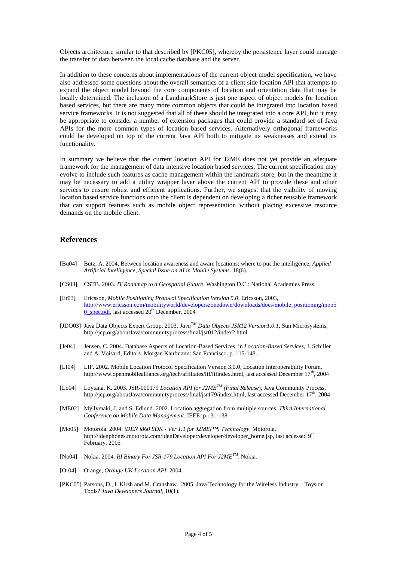Objects architecture similar to that described by [PKC05], whereby the persistence layer could manage the transfer of data between the local cache database and the server.

In addition to these concerns about implementations of the current object model specification, we have also addressed some questions about the overall semantics of a client side location API that attempts to expand the object model beyond the core components of location and orientation data that may be locally determined. The inclusion of a LandmarkStore is just one aspect of object models for location based services, but there are many more common objects that could be integrated into location based service frameworks. It is not suggested that all of these should be integrated into a core API, but it may be appropriate to consider a number of extension packages that could provide a standard set of Java APIs for the more common types of location based services. Alternatively orthogonal frameworks could be developed on top of the current Java API both to mitigate its weaknesses and extend its functionality.

In summary we believe that the current location API for J2ME does not yet provide an adequate framework for the management of data intensive location based services. The current specification may evolve to include such features as cache management within the landmark store, but in the meantime it may be necessary to add a utility wrapper layer above the current API to provide these and other services to ensure robust and efficient applications. Further, we suggest that the viability of moving location based service functions onto the client is dependent on developing a richer reusable framework that can support features such as mobile object representation without placing excessive resource demands on the mobile client.

### **References**

- [Bu04] Butz, A. 2004. Between location awareness and aware locations: where to put the intelligence, *Applied Artificial Intelligence, Special Issue on AI in Mobile Systems*. 18(6).
- [CS03] CSTB. 2003. *IT Roadmap to a Geospatial Future*. Washington D.C.: National Academies Press.
- [Er03] Ericsson, *Mobile Positioning Protocol Specification Version 5.0*, Ericsson, 2003, [http://www.ericsson.com/mobilityworld/developerszonedown/downloads/docs/mobile\\_positioning/mpp5](http://www.ericsson.com/mobilityworld/developerszonedown/downloads/docs/mobile_positioning/mpp50_spec.pdf) [0\\_spec.pdf,](http://www.ericsson.com/mobilityworld/developerszonedown/downloads/docs/mobile_positioning/mpp50_spec.pdf) last accessed  $20<sup>th</sup>$  December, 2004
- [JDO03] Java Data Objects Expert Group. 2003. *JavaTM Data Objects JSR12 Version1.0.1*, Sun Microsystems, http://jcp.org/aboutJava/communityprocess/final/jsr012/index2.html
- [Je04] Jensen, C. 2004. Database Aspects of Location-Based Services, in *Location-Based Services*, J. Schiller and A. Voisard, Editors. Morgan Kaufmann: San Francisco. p. 115-148.
- [LI04] LIF. 2002. Mobile Location Protocol Specification Version 3.0.0, Location Interoperability Forum, http://www.openmobilealliance.org/tech/affiliates/lif/lifindex.html, last accessed December 17<sup>th</sup>, 2004
- [Lo04] Loytana, K. 2003. JSR-000179 *Location API for J2METM (Final Release*), Java Community Process, http://jcp.org/aboutJava/communityprocess/final/jsr179/index.html, last accessed December 17<sup>th</sup>, 2004
- [ME02] Myllymaki, J. and S. Edlund. 2002. Location aggregation from multiple sources. *Third International Conference on Mobile Data Management*. IEEE. p.131-138
- [Mo05] Motorola. 2004. *iDEN i860 SDK - Ver 1.1 for J2ME(™) Technology*. Motorola, http://idenphones.motorola.com/idenDeveloper/developer/developer\_home.jsp, last accessed 9<sup>th</sup> February, 2005
- [No04] Nokia. 2004*. RI Binary For JSR-179 Location API For J2METM* . Nokia.
- [Or04] Orange, *Orange UK Location API*. 2004.
- [PKC05] Parsons, D., I. Kirsh and M. Cranshaw. 2005. Java Technology for the Wireless Industry Toys or Tools? *Java Developers Journal*, 10(1).